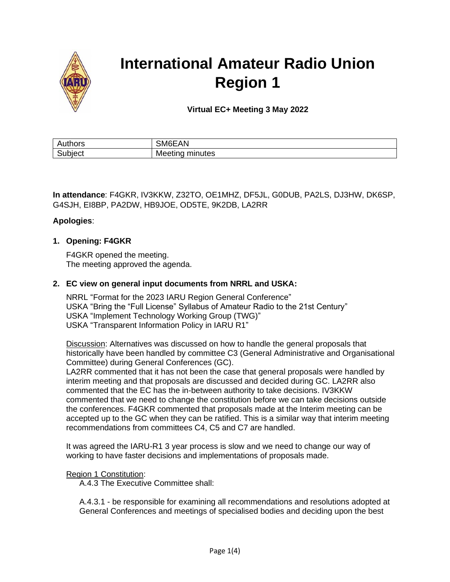

# **International Amateur Radio Union Region 1**

**Virtual EC+ Meeting 3 May 2022**

| ---<br>ாபட<br>nı. | . .<br>`` |
|-------------------|-----------|
| $\sim$            | ממויו     |
| ww.               | າເບວ      |

**In attendance**: F4GKR, IV3KKW, Z32TO, OE1MHZ, DF5JL, G0DUB, PA2LS, DJ3HW, DK6SP, G4SJH, EI8BP, PA2DW, HB9JOE, OD5TE, 9K2DB, LA2RR

## **Apologies**:

## **1. Opening: F4GKR**

F4GKR opened the meeting. The meeting approved the agenda.

#### **2. EC view on general input documents from NRRL and USKA:**

NRRL "Format for the 2023 IARU Region General Conference" USKA "Bring the "Full License" Syllabus of Amateur Radio to the 21st Century" USKA "Implement Technology Working Group (TWG)" USKA "Transparent Information Policy in IARU R1"

Discussion: Alternatives was discussed on how to handle the general proposals that historically have been handled by committee C3 (General Administrative and Organisational Committee) during General Conferences (GC).

LA2RR commented that it has not been the case that general proposals were handled by interim meeting and that proposals are discussed and decided during GC. LA2RR also commented that the EC has the in-between authority to take decisions. IV3KKW commented that we need to change the constitution before we can take decisions outside the conferences. F4GKR commented that proposals made at the Interim meeting can be accepted up to the GC when they can be ratified. This is a similar way that interim meeting recommendations from committees C4, C5 and C7 are handled.

It was agreed the IARU-R1 3 year process is slow and we need to change our way of working to have faster decisions and implementations of proposals made.

#### Region 1 Constitution:

A.4.3 The Executive Committee shall:

A.4.3.1 - be responsible for examining all recommendations and resolutions adopted at General Conferences and meetings of specialised bodies and deciding upon the best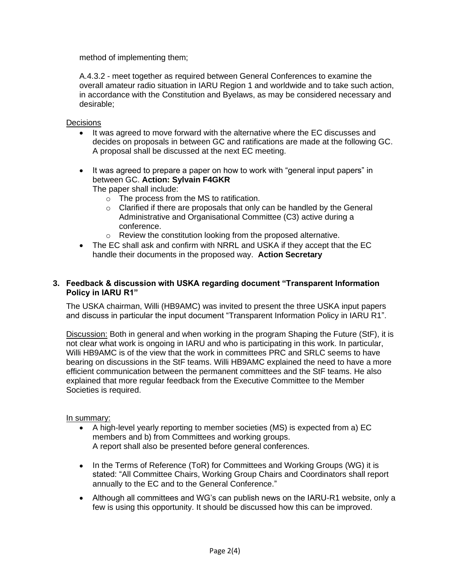method of implementing them;

A.4.3.2 - meet together as required between General Conferences to examine the overall amateur radio situation in IARU Region 1 and worldwide and to take such action, in accordance with the Constitution and Byelaws, as may be considered necessary and desirable;

#### Decisions

- It was agreed to move forward with the alternative where the EC discusses and decides on proposals in between GC and ratifications are made at the following GC. A proposal shall be discussed at the next EC meeting.
- It was agreed to prepare a paper on how to work with "general input papers" in between GC. **Action: Sylvain F4GKR** The paper shall include:
	- o The process from the MS to ratification.
	- $\circ$  Clarified if there are proposals that only can be handled by the General Administrative and Organisational Committee (C3) active during a conference.
	- o Review the constitution looking from the proposed alternative.
- The EC shall ask and confirm with NRRL and USKA if they accept that the EC handle their documents in the proposed way. **Action Secretary**

#### **3. Feedback & discussion with USKA regarding document "Transparent Information Policy in IARU R1"**

The USKA chairman, Willi (HB9AMC) was invited to present the three USKA input papers and discuss in particular the input document "Transparent Information Policy in IARU R1".

Discussion: Both in general and when working in the program Shaping the Future (StF), it is not clear what work is ongoing in IARU and who is participating in this work. In particular, Willi HB9AMC is of the view that the work in committees PRC and SRLC seems to have bearing on discussions in the StF teams. Willi HB9AMC explained the need to have a more efficient communication between the permanent committees and the StF teams. He also explained that more regular feedback from the Executive Committee to the Member Societies is required.

#### In summary:

- A high-level yearly reporting to member societies (MS) is expected from a) EC members and b) from Committees and working groups. A report shall also be presented before general conferences.
- In the Terms of Reference (ToR) for Committees and Working Groups (WG) it is stated: "All Committee Chairs, Working Group Chairs and Coordinators shall report annually to the EC and to the General Conference."
- Although all committees and WG's can publish news on the IARU-R1 website, only a few is using this opportunity. It should be discussed how this can be improved.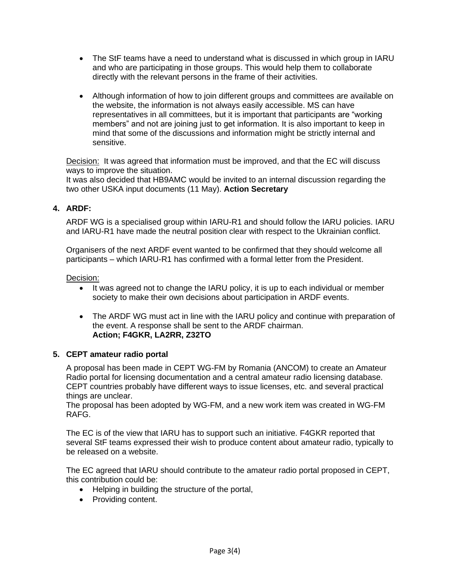- The StF teams have a need to understand what is discussed in which group in IARU and who are participating in those groups. This would help them to collaborate directly with the relevant persons in the frame of their activities.
- Although information of how to join different groups and committees are available on the website, the information is not always easily accessible. MS can have representatives in all committees, but it is important that participants are "working members" and not are joining just to get information. It is also important to keep in mind that some of the discussions and information might be strictly internal and sensitive.

Decision: It was agreed that information must be improved, and that the EC will discuss ways to improve the situation.

It was also decided that HB9AMC would be invited to an internal discussion regarding the two other USKA input documents (11 May). **Action Secretary**

## **4. ARDF:**

ARDF WG is a specialised group within IARU-R1 and should follow the IARU policies. IARU and IARU-R1 have made the neutral position clear with respect to the Ukrainian conflict.

Organisers of the next ARDF event wanted to be confirmed that they should welcome all participants – which IARU-R1 has confirmed with a formal letter from the President.

Decision:

- It was agreed not to change the IARU policy, it is up to each individual or member society to make their own decisions about participation in ARDF events.
- The ARDF WG must act in line with the IARU policy and continue with preparation of the event. A response shall be sent to the ARDF chairman. **Action; F4GKR, LA2RR, Z32TO**

## **5. CEPT amateur radio portal**

A proposal has been made in CEPT WG-FM by Romania (ANCOM) to create an Amateur Radio portal for licensing documentation and a central amateur radio licensing database. CEPT countries probably have different ways to issue licenses, etc. and several practical things are unclear.

The proposal has been adopted by WG-FM, and a new work item was created in WG-FM RAFG.

The EC is of the view that IARU has to support such an initiative. F4GKR reported that several StF teams expressed their wish to produce content about amateur radio, typically to be released on a website.

The EC agreed that IARU should contribute to the amateur radio portal proposed in CEPT, this contribution could be:

- Helping in building the structure of the portal,
- Providing content.